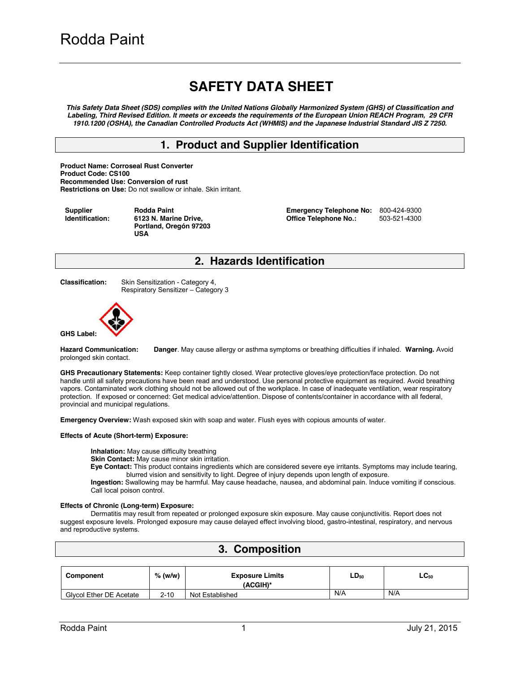# **SAFETY DATA SHEET**

*This Safety Data Sheet (SDS) complies with the United Nations Globally Harmonized System (GHS) of Classification and Labeling, Third Revised Edition. It meets or exceeds the requirements of the European Union REACH Program, 29 CFR 1910.1200 (OSHA), the Canadian Controlled Products Act (WHMIS) and the Japanese Industrial Standard JIS Z 7250.* 

### **1. Product and Supplier Identification**

**Product Name: Corroseal Rust Converter Product Code: CS100 Recommended Use: Conversion of rust Restrictions on Use:** Do not swallow or inhale. Skin irritant.

**Supplier Identification:** **Rodda Paint 6123 N. Marine Drive, Portland, Oregón 97203 USA** 

**Emergency Telephone No: 800-424-9300<br>
<b>Office Telephone No.:** 503-521-4300 **Office Telephone No.:** 

#### **2. Hazards Identification**

**Classification:** Skin Sensitization - Category 4, Respiratory Sensitizer – Category 3



**Hazard Communication: Danger**. May cause allergy or asthma symptoms or breathing difficulties if inhaled. **Warning.** Avoid prolonged skin contact.

**GHS Precautionary Statements:** Keep container tightly closed. Wear protective gloves/eye protection/face protection. Do not handle until all safety precautions have been read and understood. Use personal protective equipment as required. Avoid breathing vapors. Contaminated work clothing should not be allowed out of the workplace. In case of inadequate ventilation, wear respiratory protection. If exposed or concerned: Get medical advice/attention. Dispose of contents/container in accordance with all federal, provincial and municipal regulations.

**Emergency Overview:** Wash exposed skin with soap and water. Flush eyes with copious amounts of water.

#### **Effects of Acute (Short-term) Exposure:**

**Inhalation:** May cause difficulty breathing

**Skin Contact:** May cause minor skin irritation.

**Eye Contact:** This product contains ingredients which are considered severe eye irritants. Symptoms may include tearing, blurred vision and sensitivity to light. Degree of injury depends upon length of exposure.

**Ingestion:** Swallowing may be harmful. May cause headache, nausea, and abdominal pain. Induce vomiting if conscious. Call local poison control.

#### **Effects of Chronic (Long-term) Exposure:**

Dermatitis may result from repeated or prolonged exposure skin exposure. May cause conjunctivitis. Report does not suggest exposure levels. Prolonged exposure may cause delayed effect involving blood, gastro-intestinal, respiratory, and nervous and reproductive systems.

| 3. Composition          |           |                                    |           |           |  |  |  |
|-------------------------|-----------|------------------------------------|-----------|-----------|--|--|--|
|                         |           |                                    |           |           |  |  |  |
| Component               | $%$ (w/w) | <b>Exposure Limits</b><br>(ACGIH)* | $LD_{50}$ | $LC_{50}$ |  |  |  |
| Glycol Ether DE Acetate | $2 - 10$  | Not Established                    | N/A       | N/A       |  |  |  |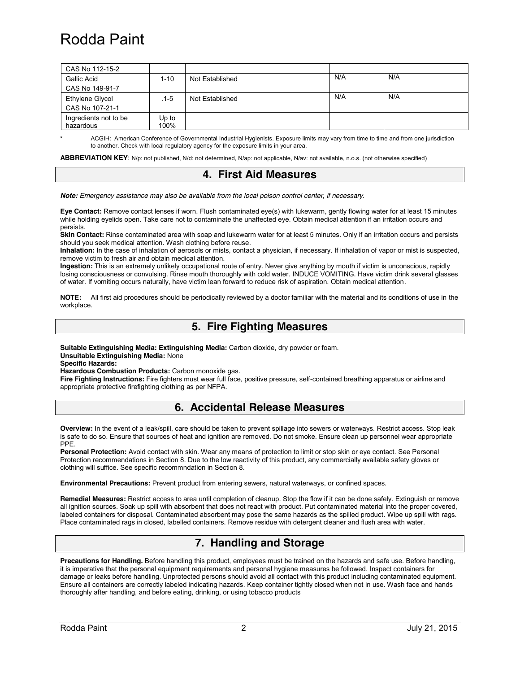# Rodda Paint

| CAS No 112-15-2                    |                 |                 |     |     |
|------------------------------------|-----------------|-----------------|-----|-----|
| Gallic Acid                        | $1 - 10$        | Not Established | N/A | N/A |
| CAS No 149-91-7                    |                 |                 |     |     |
| Ethylene Glycol                    | . 1-5           | Not Established | N/A | N/A |
| CAS No 107-21-1                    |                 |                 |     |     |
| Ingredients not to be<br>hazardous | $Up$ to<br>100% |                 |     |     |

ACGIH: American Conference of Governmental Industrial Hygienists. Exposure limits may vary from time to time and from one jurisdiction to another. Check with local regulatory agency for the exposure limits in your area.

**ABBREVIATION KEY**: N/p: not published, N/d: not determined, N/ap: not applicable, N/av: not available, n.o.s. (not otherwise specified)

#### **4. First Aid Measures**

*Note: Emergency assistance may also be available from the local poison control center, if necessary.* 

**Eye Contact:** Remove contact lenses if worn. Flush contaminated eye(s) with lukewarm, gently flowing water for at least 15 minutes while holding eyelids open. Take care not to contaminate the unaffected eye. Obtain medical attention if an irritation occurs and persists.

**Skin Contact:** Rinse contaminated area with soap and lukewarm water for at least 5 minutes. Only if an irritation occurs and persists should you seek medical attention. Wash clothing before reuse.

**Inhalation:** In the case of inhalation of aerosols or mists, contact a physician, if necessary. If inhalation of vapor or mist is suspected, remove victim to fresh air and obtain medical attention.

**Ingestion:** This is an extremely unlikely occupational route of entry. Never give anything by mouth if victim is unconscious, rapidly losing consciousness or convulsing. Rinse mouth thoroughly with cold water. INDUCE VOMITING. Have victim drink several glasses of water. If vomiting occurs naturally, have victim lean forward to reduce risk of aspiration. Obtain medical attention.

**NOTE:** All first aid procedures should be periodically reviewed by a doctor familiar with the material and its conditions of use in the workplace.

#### **5. Fire Fighting Measures**

**Suitable Extinguishing Media: Extinguishing Media:** Carbon dioxide, dry powder or foam. **Unsuitable Extinguishing Media:** None

**Specific Hazards:**

**Hazardous Combustion Products:** Carbon monoxide gas.

**Fire Fighting Instructions:** Fire fighters must wear full face, positive pressure, self-contained breathing apparatus or airline and appropriate protective firefighting clothing as per NFPA.

## **6. Accidental Release Measures**

**Overview:** In the event of a leak/spill, care should be taken to prevent spillage into sewers or waterways. Restrict access. Stop leak is safe to do so. Ensure that sources of heat and ignition are removed. Do not smoke. Ensure clean up personnel wear appropriate PPE.

**Personal Protection:** Avoid contact with skin. Wear any means of protection to limit or stop skin or eye contact. See Personal Protection recommendations in Section 8. Due to the low reactivity of this product, any commercially available safety gloves or clothing will suffice. See specific recommndation in Section 8.

**Environmental Precautions:** Prevent product from entering sewers, natural waterways, or confined spaces.

**Remedial Measures:** Restrict access to area until completion of cleanup. Stop the flow if it can be done safely. Extinguish or remove all ignition sources. Soak up spill with absorbent that does not react with product. Put contaminated material into the proper covered, labeled containers for disposal. Contaminated absorbent may pose the same hazards as the spilled product. Wipe up spill with rags. Place contaminated rags in closed, labelled containers. Remove residue with detergent cleaner and flush area with water.

## **7. Handling and Storage**

**Precautions for Handling.** Before handling this product, employees must be trained on the hazards and safe use. Before handling, it is imperative that the personal equipment requirements and personal hygiene measures be followed. Inspect containers for damage or leaks before handling. Unprotected persons should avoid all contact with this product including contaminated equipment. Ensure all containers are correctly labeled indicating hazards. Keep container tightly closed when not in use. Wash face and hands thoroughly after handling, and before eating, drinking, or using tobacco products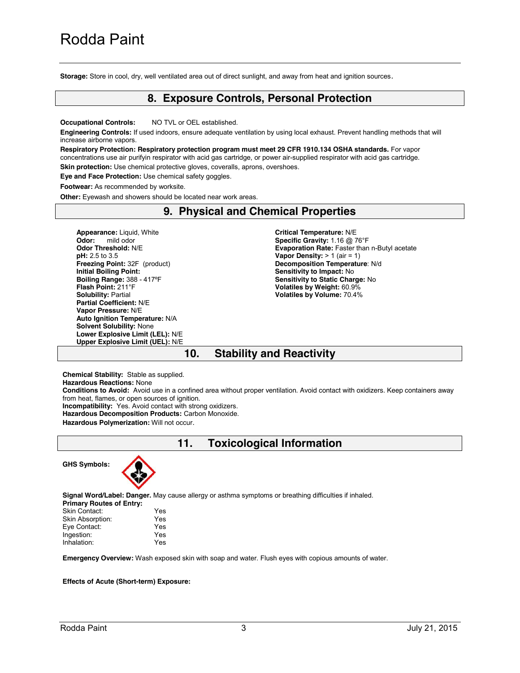**Storage:** Store in cool, dry, well ventilated area out of direct sunlight, and away from heat and ignition sources.

#### **8. Exposure Controls, Personal Protection**

**Occupational Controls:** NO TVL or OEL established.

**Engineering Controls:** If used indoors, ensure adequate ventilation by using local exhaust. Prevent handling methods that will increase airborne vapors.

**Respiratory Protection: Respiratory protection program must meet 29 CFR 1910.134 OSHA standards.** For vapor concentrations use air purifyin respirator with acid gas cartridge, or power air-supplied respirator with acid gas cartridge. **Skin protection:** Use chemical protective gloves, coveralls, aprons, overshoes.

**Eye and Face Protection:** Use chemical safety goggles.

**Footwear:** As recommended by worksite.

**Other:** Eyewash and showers should be located near work areas.

#### **9. Physical and Chemical Properties**

**Appearance:** Liquid, White **Odor:** mild odor **Odor Threshold:** N/E **pH:** 2.5 to 3.5 **Freezing Point:** 32F (product) **Initial Boiling Point: Boiling Range:** 388 - 417ºF **Flash Point:** 211°F **Solubility:** Partial **Partial Coefficient:** N/E **Vapor Pressure:** N/E **Auto Ignition Temperature:** N/A **Solvent Solubility:** None **Lower Explosive Limit (LEL):** N/E **Upper Explosive Limit (UEL):** N/E **Critical Temperature:** N/E **Specific Gravity:** 1.16 @ 76°F **Evaporation Rate:** Faster than n-Butyl acetate **Vapor Density:**  $> 1$  (air = 1) **Decomposition Temperature**: N/d **Sensitivity to Impact:** No **Sensitivity to Static Charge:** No **Volatiles by Weight:** 60.9% **Volatiles by Volume:** 70.4%

## **10. Stability and Reactivity**

**Chemical Stability:** Stable as supplied. **Hazardous Reactions:** None **Conditions to Avoid:** Avoid use in a confined area without proper ventilation. Avoid contact with oxidizers. Keep containers away from heat, flames, or open sources of ignition. **Incompatibility:** Yes. Avoid contact with strong oxidizers. **Hazardous Decomposition Products:** Carbon Monoxide. **Hazardous Polymerization:** Will not occur.

**11. Toxicological Information**

**GHS Symbols:** 



**Signal Word/Label: Danger.** May cause allergy or asthma symptoms or breathing difficulties if inhaled.

| <b>Primary Routes of Entry:</b> |     |
|---------------------------------|-----|
| Skin Contact:                   | Yes |
| Skin Absorption:                | Yes |
| Eye Contact:                    | Yes |
| Ingestion:                      | Yes |
| Inhalation:                     | Yes |
|                                 |     |

**Emergency Overview:** Wash exposed skin with soap and water. Flush eyes with copious amounts of water.

**Effects of Acute (Short-term) Exposure:**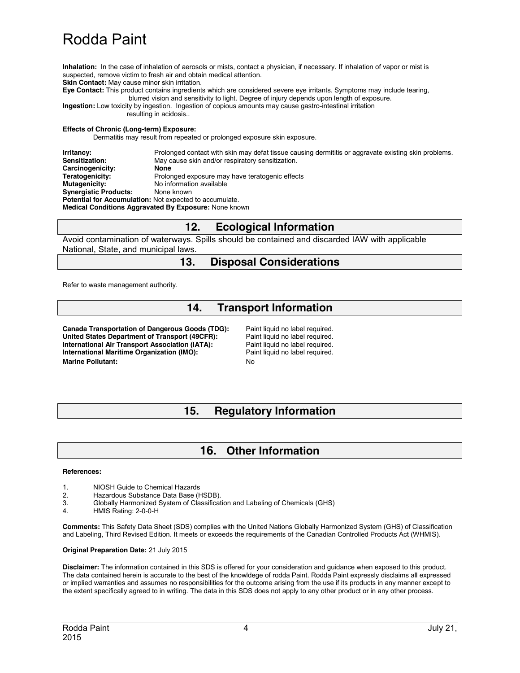# Rodda Paint

**Inhalation:** In the case of inhalation of aerosols or mists, contact a physician, if necessary. If inhalation of vapor or mist is suspected, remove victim to fresh air and obtain medical attention. **Skin Contact:** May cause minor skin irritation.

**Eye Contact:** This product contains ingredients which are considered severe eye irritants. Symptoms may include tearing, blurred vision and sensitivity to light. Degree of injury depends upon length of exposure.

**Ingestion:** Low toxicity by ingestion. Ingestion of copious amounts may cause gastro-intestinal irritation resulting in acidosis..

#### **Effects of Chronic (Long-term) Exposure:**

Dermatitis may result from repeated or prolonged exposure skin exposure.

**Irritancy:** Prolonged contact with skin may defat tissue causing dermititis or aggravate existing skin problems.<br>
Sensitization: May cause skin and/or respiratory sensitization. May cause skin and/or respiratory sensitization.<br>**None Carcinogenicity:**<br>Teratogenicity: **Teratogenicity:** Prolonged exposure may have teratogenic effects<br> **Mutagenicity:** No information available **No information available**<br>None known **Synergistic Products: Potential for Accumulation:** Not expected to accumulate. **Medical Conditions Aggravated By Exposure:** None known

## **12. Ecological Information**

Avoid contamination of waterways. Spills should be contained and discarded IAW with applicable National, State, and municipal laws.

### **13. Disposal Considerations**

Refer to waste management authority.

## **14. Transport Information**

**Canada Transportation of Dangerous Goods (TDG):** Paint liquid no label required. United States Department of Transport (49CFR): Paint liquid no label required.<br>
International Air Transport Association (IATA): Paint liquid no label required. **International Air Transport Association (IATA): International Maritime Organization (IMO):** Paint liquid no label required. **Marine Pollutant:** No. 2006

## **15. Regulatory Information**

## **16. Other Information**

#### **References:**

- 1. NIOSH Guide to Chemical Hazards
- 2. Hazardous Substance Data Base (HSDB).
- 3. Globally Harmonized System of Classification and Labeling of Chemicals (GHS)
- 4. HMIS Rating: 2-0-0-H

**Comments:** This Safety Data Sheet (SDS) complies with the United Nations Globally Harmonized System (GHS) of Classification and Labeling, Third Revised Edition. It meets or exceeds the requirements of the Canadian Controlled Products Act (WHMIS).

#### **Original Preparation Date:** 21 July 2015

**Disclaimer:** The information contained in this SDS is offered for your consideration and guidance when exposed to this product. The data contained herein is accurate to the best of the knowldege of rodda Paint. Rodda Paint expressly disclaims all expressed or implied warranties and assumes no responsibilities for the outcome arising from the use if its products in any manner except to the extent specifically agreed to in writing. The data in this SDS does not apply to any other product or in any other process.